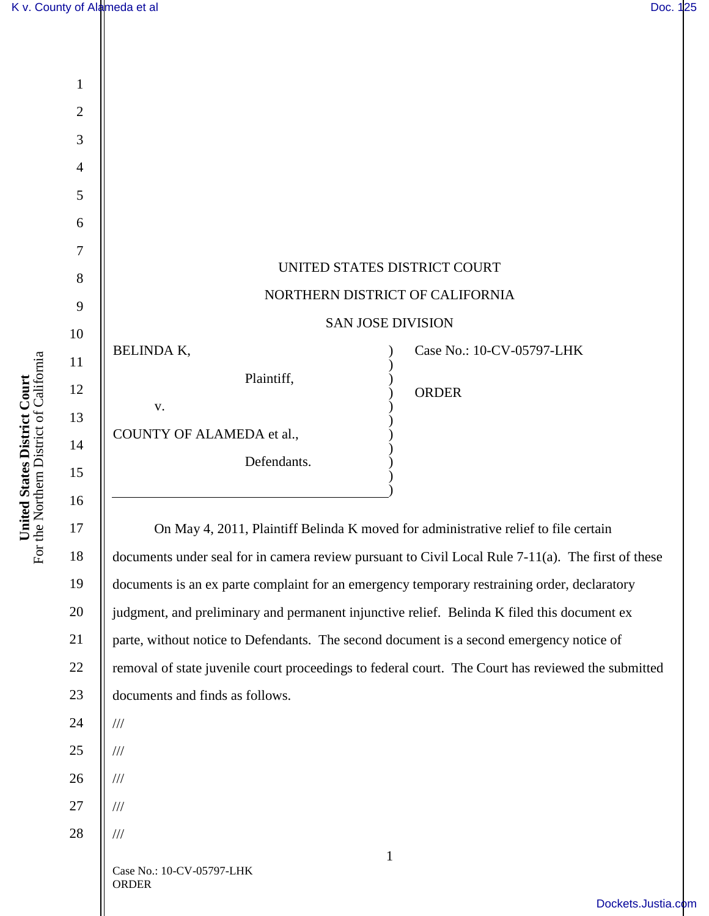

removal of state juvenile court proceedings to federal court. The Court has reviewed the submitted documents and finds as follows.

22

23

24

///

///

///

///

///

25

26

27

28

Case No.: 10-CV-05797-LHK ORDER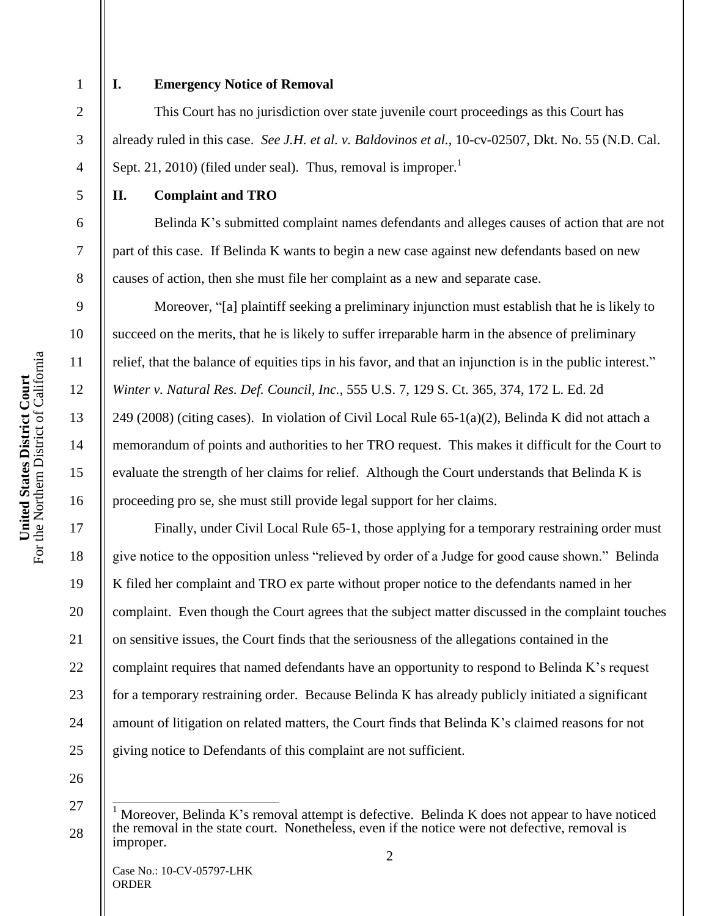2

3

4

5

6

7

8

9

10

11

12

13

14

15

16

17

18

19

20

21

22

23

24

25

1

## **I. Emergency Notice of Removal**

This Court has no jurisdiction over state juvenile court proceedings as this Court has already ruled in this case. *See J.H. et al. v. Baldovinos et al.*, 10-cv-02507, Dkt. No. 55 (N.D. Cal. Sept. 21, 2010) (filed under seal). Thus, removal is improper.<sup>1</sup>

## **II. Complaint and TRO**

Belinda K's submitted complaint names defendants and alleges causes of action that are not part of this case. If Belinda K wants to begin a new case against new defendants based on new causes of action, then she must file her complaint as a new and separate case.

Moreover, "[a] plaintiff seeking a preliminary injunction must establish that he is likely to succeed on the merits, that he is likely to suffer irreparable harm in the absence of preliminary relief, that the balance of equities tips in his favor, and that an injunction is in the public interest." *Winter v. Natural Res. Def. Council, Inc.*, 555 U.S. 7, 129 S. Ct. 365, 374, 172 L. Ed. 2d 249 (2008) (citing cases). In violation of Civil Local Rule 65-1(a)(2), Belinda K did not attach a memorandum of points and authorities to her TRO request. This makes it difficult for the Court to evaluate the strength of her claims for relief. Although the Court understands that Belinda K is proceeding pro se, she must still provide legal support for her claims.

Finally, under Civil Local Rule 65-1, those applying for a temporary restraining order must give notice to the opposition unless "relieved by order of a Judge for good cause shown." Belinda K filed her complaint and TRO ex parte without proper notice to the defendants named in her complaint. Even though the Court agrees that the subject matter discussed in the complaint touches on sensitive issues, the Court finds that the seriousness of the allegations contained in the complaint requires that named defendants have an opportunity to respond to Belinda K's request for a temporary restraining order. Because Belinda K has already publicly initiated a significant amount of litigation on related matters, the Court finds that Belinda K's claimed reasons for not giving notice to Defendants of this complaint are not sufficient.

26

 $\overline{\phantom{a}}$ 

<sup>27</sup> 28 Moreover, Belinda K's removal attempt is defective. Belinda K does not appear to have noticed the removal in the state court. Nonetheless, even if the notice were not defective, removal is improper.